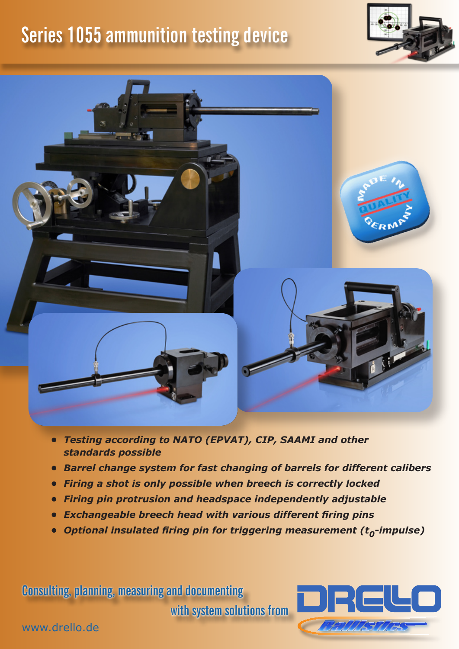## **Series 1055 ammunition testing device**





- *• Testing according to NATO (EPVAT), CIP, SAAMI and other standards possible*
- *• Barrel change system for fast changing of barrels for different calibers*
- *• Firing a shot is only possible when breech is correctly locked*
- *• Firing pin protrusion and headspace independently adjustable*
- *• Exchangeable breech head with various different firing pins*
- *• Optional insulated firing pin for triggering measurement (t0-impulse)*

**Consulting, planning, measuring and documenting with system solutions from**



www.drello.de